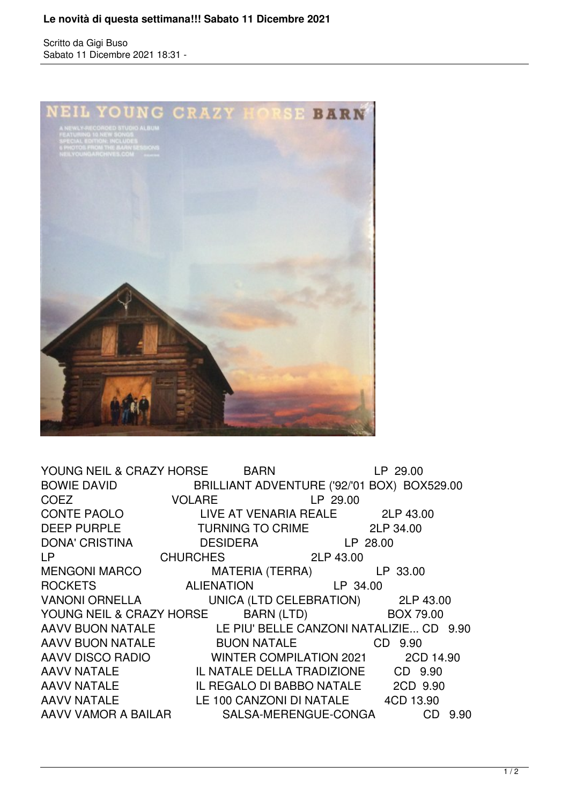## **Le novità di questa settimana!!! Sabato 11 Dicembre 2021**

Scritto da Gigi Buso Sabato 11 Dicembre 2021 18:31 -



YOUNG NEIL & CRAZY HORSE BARN LP 29.00 BOWIE DAVID BRILLIANT ADVENTURE ('92/'01 BOX) BOX529.00 COEZ VOLARE LP 29.00 CONTE PAOLO LIVE AT VENARIA REALE 2LP 43.00 DEEP PURPLE TURNING TO CRIME 2LP 34.00 DONA' CRISTINA DESIDERA LP 28.00 LP CHURCHES 2LP 43.00 MENGONI MARCO MATERIA (TERRA) LP 33.00 ROCKETS ALIENATION LP 34.00 VANONI ORNELLA UNICA (LTD CELEBRATION) 2LP 43.00 YOUNG NEIL & CRAZY HORSE BARN (LTD) BOX 79.00 AAVV BUON NATALE LE PIU' BELLE CANZONI NATALIZIE... CD 9.90 AAVV BUON NATALE BUON NATALE CD 9.90 AAVV DISCO RADIO WINTER COMPILATION 2021 2CD 14.90 AAVV NATALE IL NATALE DELLA TRADIZIONE CD 9.90 AAVV NATALE IL REGALO DI BABBO NATALE 2CD 9.90 AAVV NATALE LE 100 CANZONI DI NATALE 4CD 13.90 AAVV VAMOR A BAILAR SALSA-MERENGUE-CONGA CD 9.90